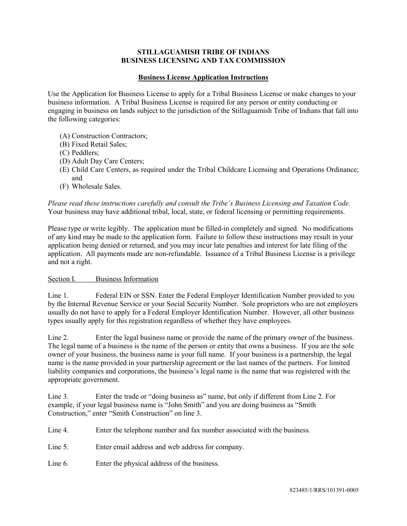## **STILLAGUAMISH TRIBE OF INDIANS BUSINESS LICENSING AND TAX COMMISSION**

## **Business License Application Instructions**

Use the Application for Business License to apply for a Tribal Business License or make changes to your business information. A Tribal Business License is required for any person or entity conducting or engaging in business on lands subject to the jurisdiction of the Stillaguamish Tribe of Indians that fall into the following categories:

- (A) Construction Contractors;
- (B) Fixed Retail Sales;
- (C) Peddlers;
- (D) Adult Day Care Centers;
- (E) Child Care Centers, as required under the Tribal Childcare Licensing and Operations Ordinance; and
- (F) Wholesale Sales.

*Please read these instructions carefully and consult the Tribe's Business Licensing and Taxation Code.* Your business may have additional tribal, local, state, or federal licensing or permitting requirements.

Please type or write legibly. The application must be filled-in completely and signed. No modifications of any kind may be made to the application form. Failure to follow these instructions may result in your application being denied or returned, and you may incur late penalties and interest for late filing of the application. All payments made are non-refundable. Issuance of a Tribal Business License is a privilege and not a right.

## Section I. Business Information

Line 1. Federal EIN or SSN. Enter the Federal Employer Identification Number provided to you by the Internal Revenue Service or your Social Security Number. Sole proprietors who are not employers usually do not have to apply for a Federal Employer Identification Number. However, all other business types usually apply for this registration regardless of whether they have employees.

Line 2. Enter the legal business name or provide the name of the primary owner of the business. The legal name of a business is the name of the person or entity that owns a business. If you are the sole owner of your business, the business name is your full name. If your business is a partnership, the legal name is the name provided in your partnership agreement or the last names of the partners. For limited liability companies and corporations, the business's legal name is the name that was registered with the appropriate government.

Line 3. Enter the trade or "doing business as" name, but only if different from Line 2. For example, if your legal business name is "John Smith" and you are doing business as "Smith Construction," enter "Smith Construction" on line 3.

Line 4. Enter the telephone number and fax number associated with the business.

Line 5. Enter email address and web address for company.

Line 6. Enter the physical address of the business.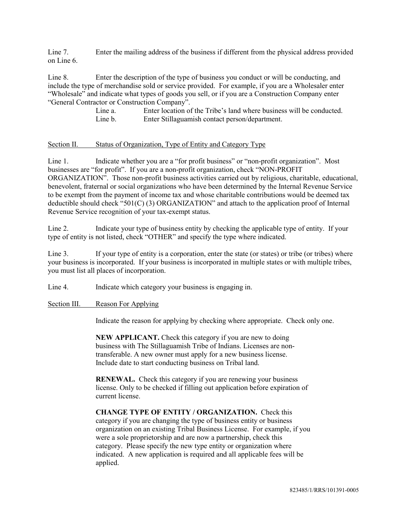Line 7. Enter the mailing address of the business if different from the physical address provided on Line 6.

Line 8. Enter the description of the type of business you conduct or will be conducting, and include the type of merchandise sold or service provided. For example, if you are a Wholesaler enter "Wholesale" and indicate what types of goods you sell, or if you are a Construction Company enter "General Contractor or Construction Company".

> Line a. Enter location of the Tribe's land where business will be conducted. Line b. Enter Stillaguamish contact person/department.

## Section II. Status of Organization, Type of Entity and Category Type

Line 1. Indicate whether you are a "for profit business" or "non-profit organization". Most businesses are "for profit". If you are a non-profit organization, check "NON-PROFIT ORGANIZATION". Those non-profit business activities carried out by religious, charitable, educational, benevolent, fraternal or social organizations who have been determined by the Internal Revenue Service to be exempt from the payment of income tax and whose charitable contributions would be deemed tax deductible should check "501(C) (3) ORGANIZATION" and attach to the application proof of Internal Revenue Service recognition of your tax-exempt status.

Line 2. Indicate your type of business entity by checking the applicable type of entity. If your type of entity is not listed, check "OTHER" and specify the type where indicated.

Line 3. If your type of entity is a corporation, enter the state (or states) or tribe (or tribes) where your business is incorporated. If your business is incorporated in multiple states or with multiple tribes, you must list all places of incorporation.

Line 4. Indicate which category your business is engaging in.

#### Section III. Reason For Applying

Indicate the reason for applying by checking where appropriate. Check only one.

**NEW APPLICANT.** Check this category if you are new to doing business with The Stillaguamish Tribe of Indians. Licenses are nontransferable. A new owner must apply for a new business license. Include date to start conducting business on Tribal land.

**RENEWAL.** Check this category if you are renewing your business license. Only to be checked if filling out application before expiration of current license.

**CHANGE TYPE OF ENTITY / ORGANIZATION.** Check this category if you are changing the type of business entity or business organization on an existing Tribal Business License. For example, if you were a sole proprietorship and are now a partnership, check this category. Please specify the new type entity or organization where indicated. A new application is required and all applicable fees will be applied.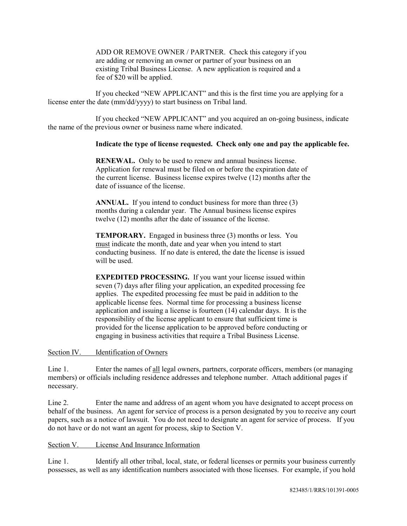ADD OR REMOVE OWNER / PARTNER. Check this category if you are adding or removing an owner or partner of your business on an existing Tribal Business License. A new application is required and a fee of \$20 will be applied.

If you checked "NEW APPLICANT" and this is the first time you are applying for a license enter the date (mm/dd/yyyy) to start business on Tribal land.

If you checked "NEW APPLICANT" and you acquired an on-going business, indicate the name of the previous owner or business name where indicated.

## **Indicate the type of license requested. Check only one and pay the applicable fee.**

**RENEWAL.** Only to be used to renew and annual business license. Application for renewal must be filed on or before the expiration date of the current license. Business license expires twelve (12) months after the date of issuance of the license.

**ANNUAL.** If you intend to conduct business for more than three (3) months during a calendar year. The Annual business license expires twelve (12) months after the date of issuance of the license.

**TEMPORARY.** Engaged in business three (3) months or less. You must indicate the month, date and year when you intend to start conducting business. If no date is entered, the date the license is issued will be used.

**EXPEDITED PROCESSING.** If you want your license issued within seven (7) days after filing your application, an expedited processing fee applies. The expedited processing fee must be paid in addition to the applicable license fees. Normal time for processing a business license application and issuing a license is fourteen (14) calendar days. It is the responsibility of the license applicant to ensure that sufficient time is provided for the license application to be approved before conducting or engaging in business activities that require a Tribal Business License.

Section IV. Identification of Owners

Line 1. Enter the names of all legal owners, partners, corporate officers, members (or managing members) or officials including residence addresses and telephone number. Attach additional pages if necessary.

Line 2. Enter the name and address of an agent whom you have designated to accept process on behalf of the business. An agent for service of process is a person designated by you to receive any court papers, such as a notice of lawsuit. You do not need to designate an agent for service of process. If you do not have or do not want an agent for process, skip to Section V.

### Section V. License And Insurance Information

Line 1. Identify all other tribal, local, state, or federal licenses or permits your business currently possesses, as well as any identification numbers associated with those licenses. For example, if you hold